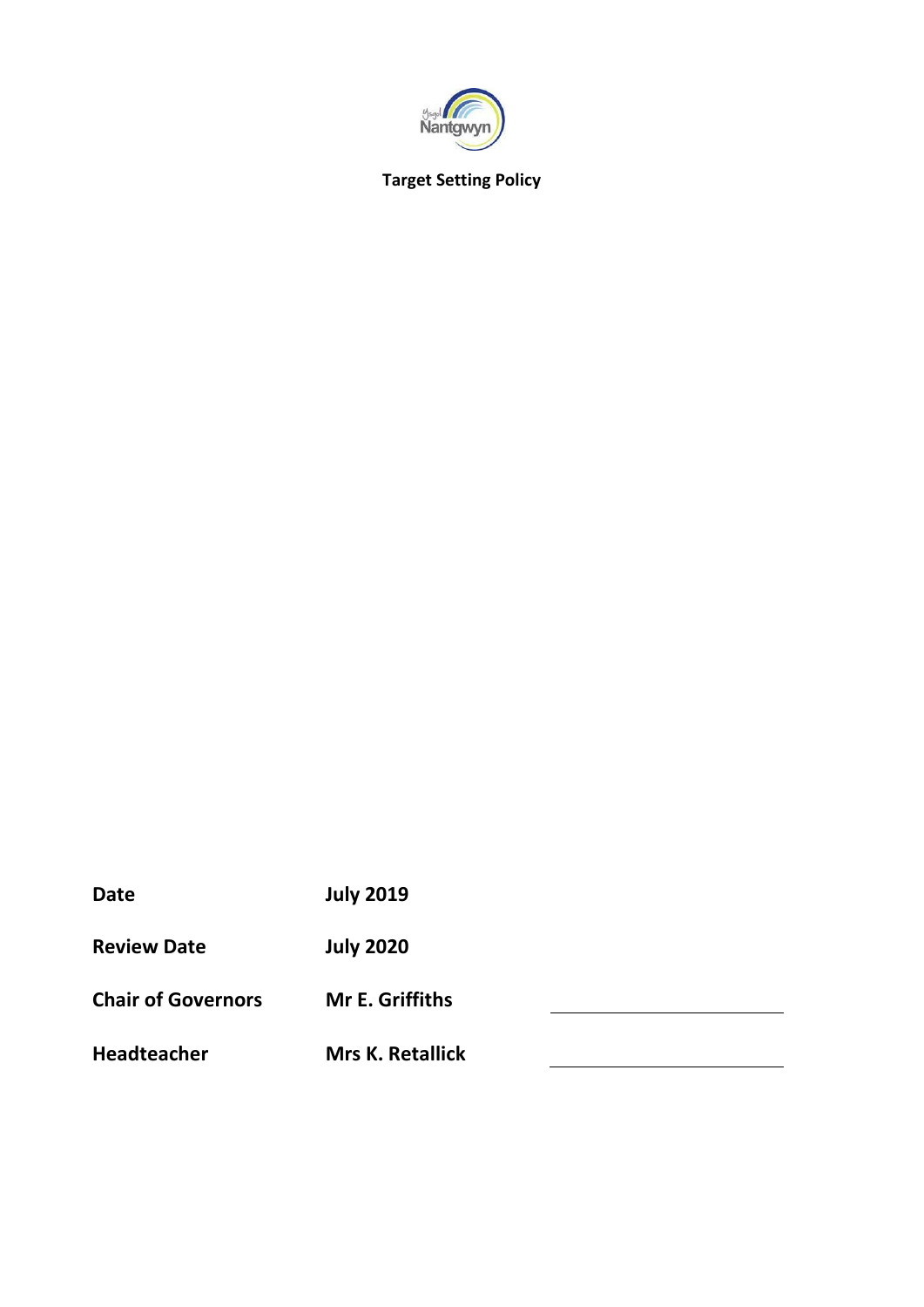

# **Target Setting Policy**

| <b>Date</b>               | <b>July 2019</b>        |  |
|---------------------------|-------------------------|--|
| <b>Review Date</b>        | <b>July 2020</b>        |  |
| <b>Chair of Governors</b> | <b>Mr E. Griffiths</b>  |  |
| <b>Headteacher</b>        | <b>Mrs K. Retallick</b> |  |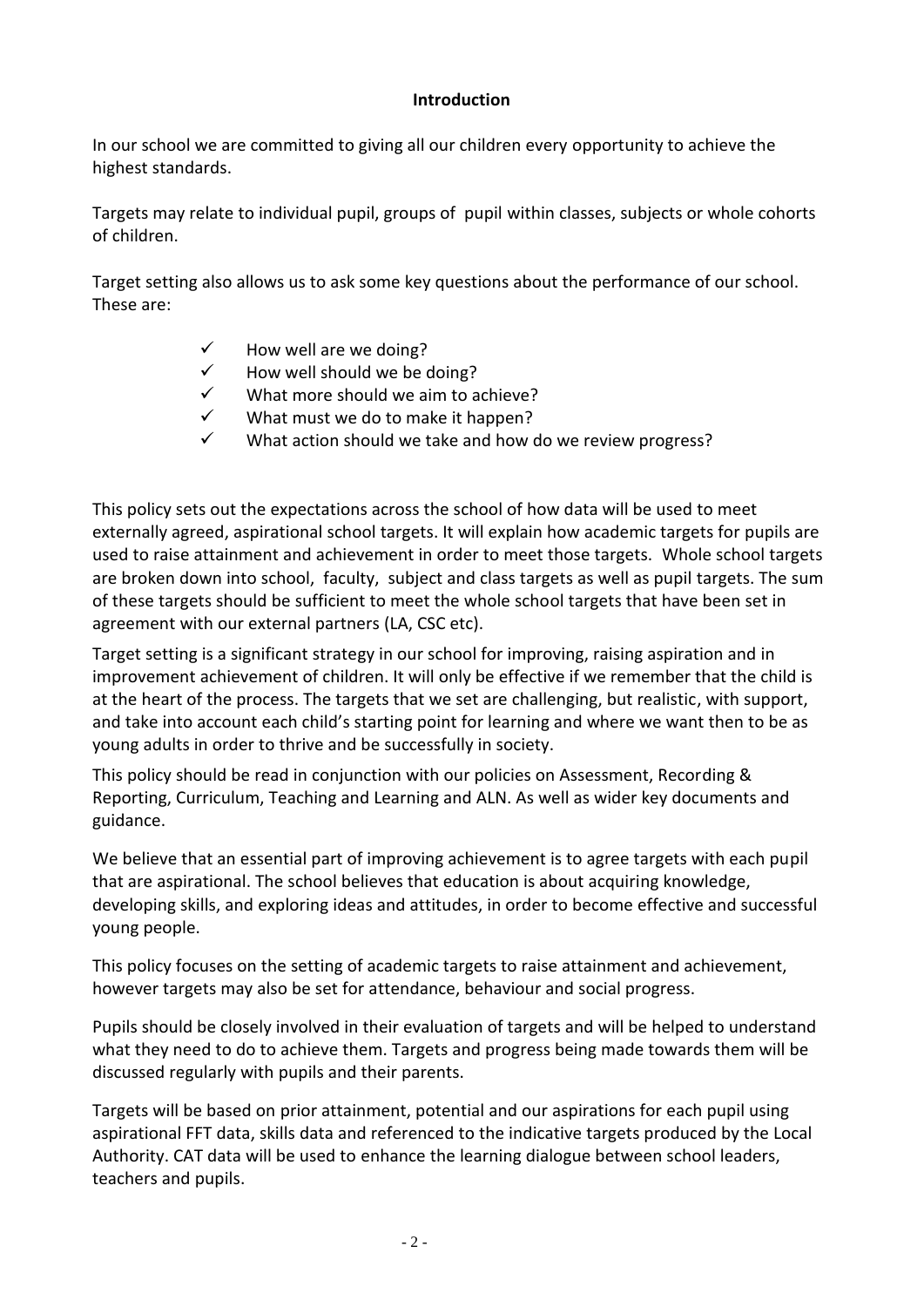## **Introduction**

In our school we are committed to giving all our children every opportunity to achieve the highest standards.

Targets may relate to individual pupil, groups of pupil within classes, subjects or whole cohorts of children.

Target setting also allows us to ask some key questions about the performance of our school. These are:

- How well are we doing?
- How well should we be doing?
- $\checkmark$  What more should we aim to achieve?<br> $\checkmark$  What must we do to make it hannen?
- What must we do to make it happen?
- $\checkmark$  What action should we take and how do we review progress?

This policy sets out the expectations across the school of how data will be used to meet externally agreed, aspirational school targets. It will explain how academic targets for pupils are used to raise attainment and achievement in order to meet those targets. Whole school targets are broken down into school, faculty, subject and class targets as well as pupil targets. The sum of these targets should be sufficient to meet the whole school targets that have been set in agreement with our external partners (LA, CSC etc).

Target setting is a significant strategy in our school for improving, raising aspiration and in improvement achievement of children. It will only be effective if we remember that the child is at the heart of the process. The targets that we set are challenging, but realistic, with support, and take into account each child's starting point for learning and where we want then to be as young adults in order to thrive and be successfully in society.

This policy should be read in conjunction with our policies on Assessment, Recording & Reporting, Curriculum, Teaching and Learning and ALN. As well as wider key documents and guidance.

We believe that an essential part of improving achievement is to agree targets with each pupil that are aspirational. The school believes that education is about acquiring knowledge, developing skills, and exploring ideas and attitudes, in order to become effective and successful young people.

This policy focuses on the setting of academic targets to raise attainment and achievement, however targets may also be set for attendance, behaviour and social progress.

Pupils should be closely involved in their evaluation of targets and will be helped to understand what they need to do to achieve them. Targets and progress being made towards them will be discussed regularly with pupils and their parents.

Targets will be based on prior attainment, potential and our aspirations for each pupil using aspirational FFT data, skills data and referenced to the indicative targets produced by the Local Authority. CAT data will be used to enhance the learning dialogue between school leaders, teachers and pupils.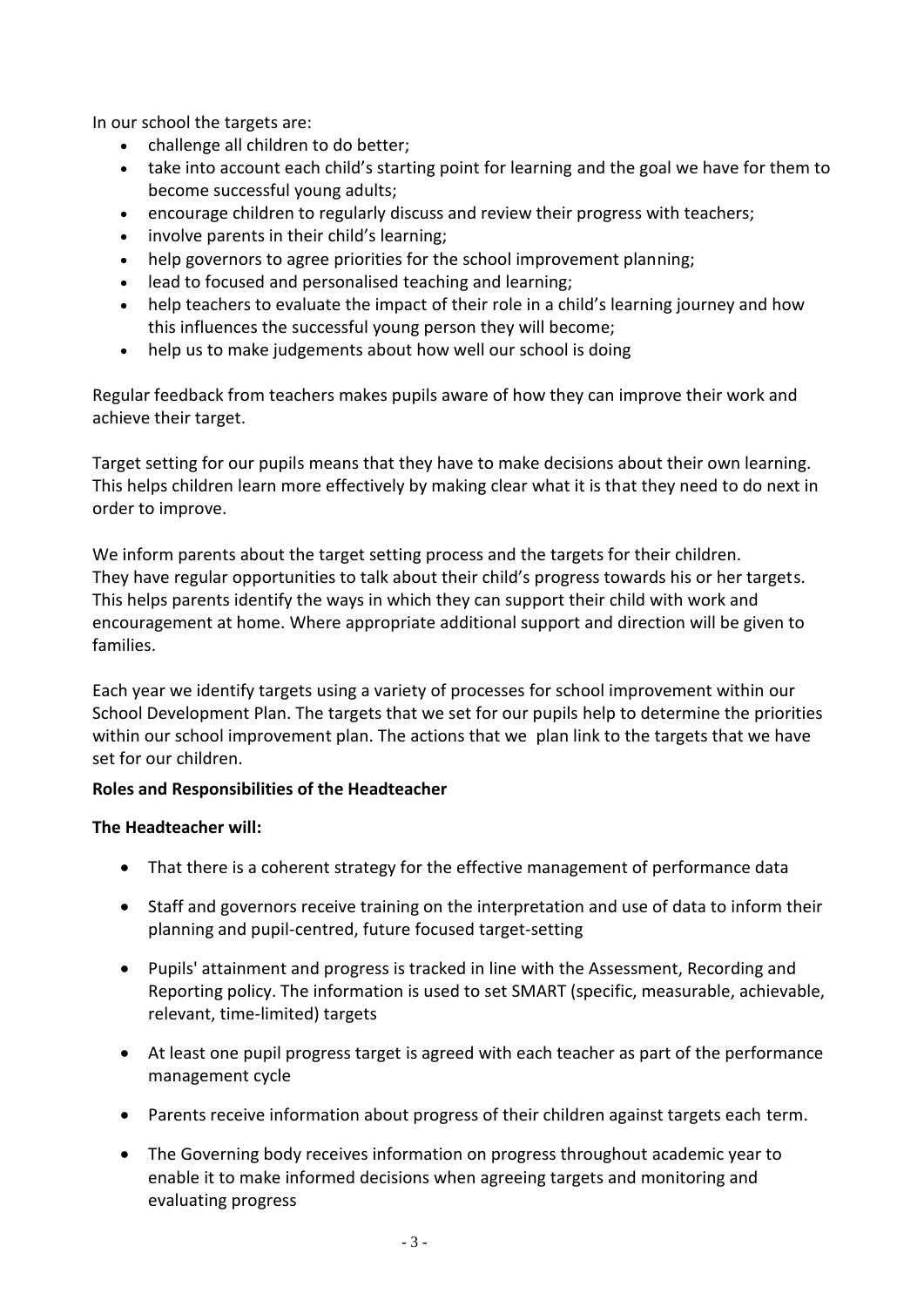In our school the targets are:

- challenge all children to do better;
- take into account each child's starting point for learning and the goal we have for them to become successful young adults;
- encourage children to regularly discuss and review their progress with teachers;
- involve parents in their child's learning;
- help governors to agree priorities for the school improvement planning;
- lead to focused and personalised teaching and learning;
- help teachers to evaluate the impact of their role in a child's learning journey and how this influences the successful young person they will become;
- help us to make judgements about how well our school is doing

Regular feedback from teachers makes pupils aware of how they can improve their work and achieve their target.

Target setting for our pupils means that they have to make decisions about their own learning. This helps children learn more effectively by making clear what it is that they need to do next in order to improve.

We inform parents about the target setting process and the targets for their children. They have regular opportunities to talk about their child's progress towards his or her targets. This helps parents identify the ways in which they can support their child with work and encouragement at home. Where appropriate additional support and direction will be given to families.

Each year we identify targets using a variety of processes for school improvement within our School Development Plan. The targets that we set for our pupils help to determine the priorities within our school improvement plan. The actions that we plan link to the targets that we have set for our children.

# **Roles and Responsibilities of the Headteacher**

# **The Headteacher will:**

- That there is a coherent strategy for the effective management of performance data
- Staff and governors receive training on the interpretation and use of data to inform their planning and pupil-centred, future focused target-setting
- Pupils' attainment and progress is tracked in line with the Assessment, Recording and Reporting policy. The information is used to set SMART (specific, measurable, achievable, relevant, time-limited) targets
- At least one pupil progress target is agreed with each teacher as part of the performance management cycle
- Parents receive information about progress of their children against targets each term.
- The Governing body receives information on progress throughout academic year to enable it to make informed decisions when agreeing targets and monitoring and evaluating progress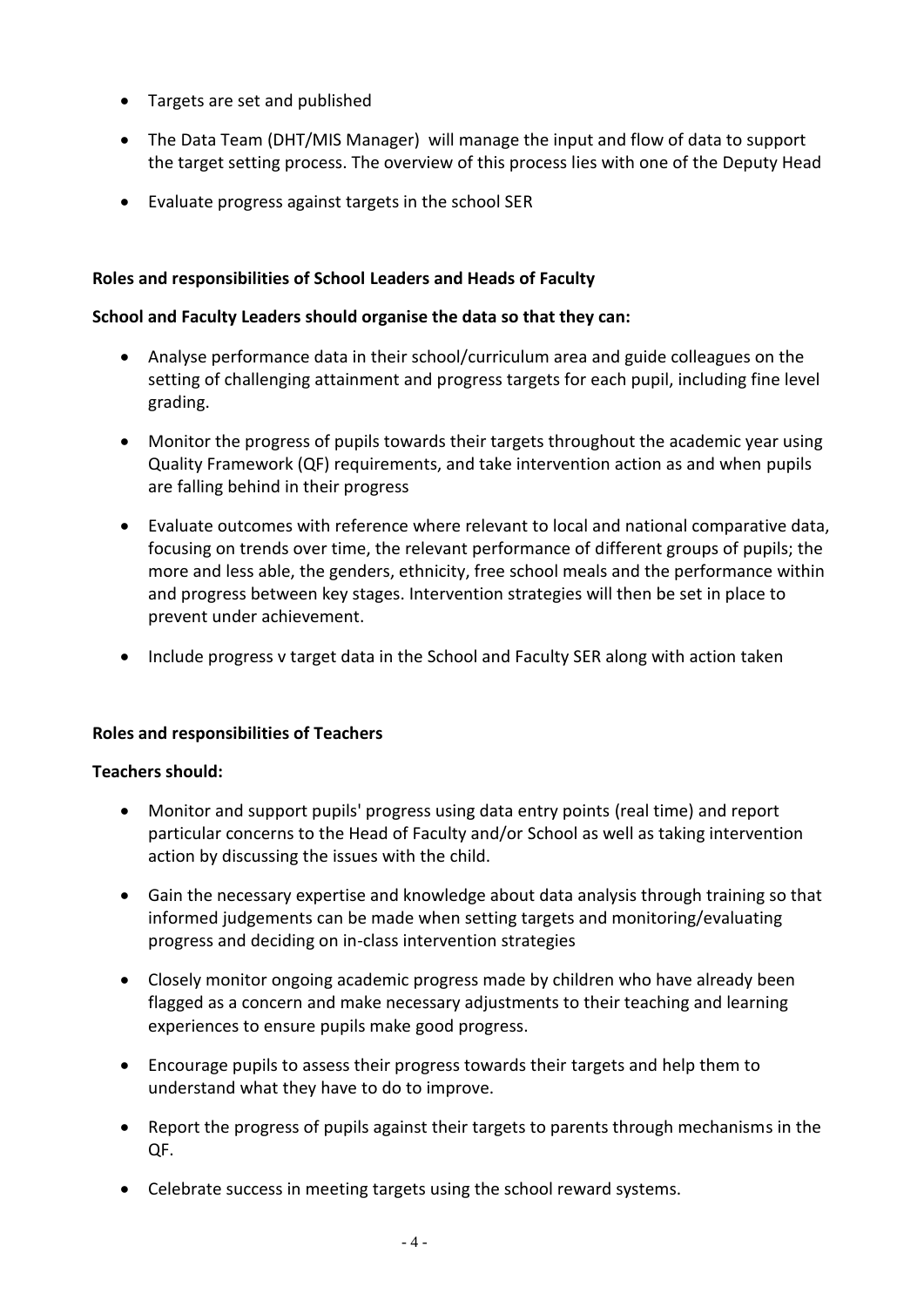- Targets are set and published
- The Data Team (DHT/MIS Manager) will manage the input and flow of data to support the target setting process. The overview of this process lies with one of the Deputy Head
- Evaluate progress against targets in the school SER

### **Roles and responsibilities of School Leaders and Heads of Faculty**

#### **School and Faculty Leaders should organise the data so that they can:**

- Analyse performance data in their school/curriculum area and guide colleagues on the setting of challenging attainment and progress targets for each pupil, including fine level grading.
- Monitor the progress of pupils towards their targets throughout the academic year using Quality Framework (QF) requirements, and take intervention action as and when pupils are falling behind in their progress
- Evaluate outcomes with reference where relevant to local and national comparative data, focusing on trends over time, the relevant performance of different groups of pupils; the more and less able, the genders, ethnicity, free school meals and the performance within and progress between key stages. Intervention strategies will then be set in place to prevent under achievement.
- Include progress v target data in the School and Faculty SER along with action taken

#### **Roles and responsibilities of Teachers**

#### **Teachers should:**

- Monitor and support pupils' progress using data entry points (real time) and report particular concerns to the Head of Faculty and/or School as well as taking intervention action by discussing the issues with the child.
- Gain the necessary expertise and knowledge about data analysis through training so that informed judgements can be made when setting targets and monitoring/evaluating progress and deciding on in-class intervention strategies
- Closely monitor ongoing academic progress made by children who have already been flagged as a concern and make necessary adjustments to their teaching and learning experiences to ensure pupils make good progress.
- Encourage pupils to assess their progress towards their targets and help them to understand what they have to do to improve.
- Report the progress of pupils against their targets to parents through mechanisms in the QF.
- Celebrate success in meeting targets using the school reward systems.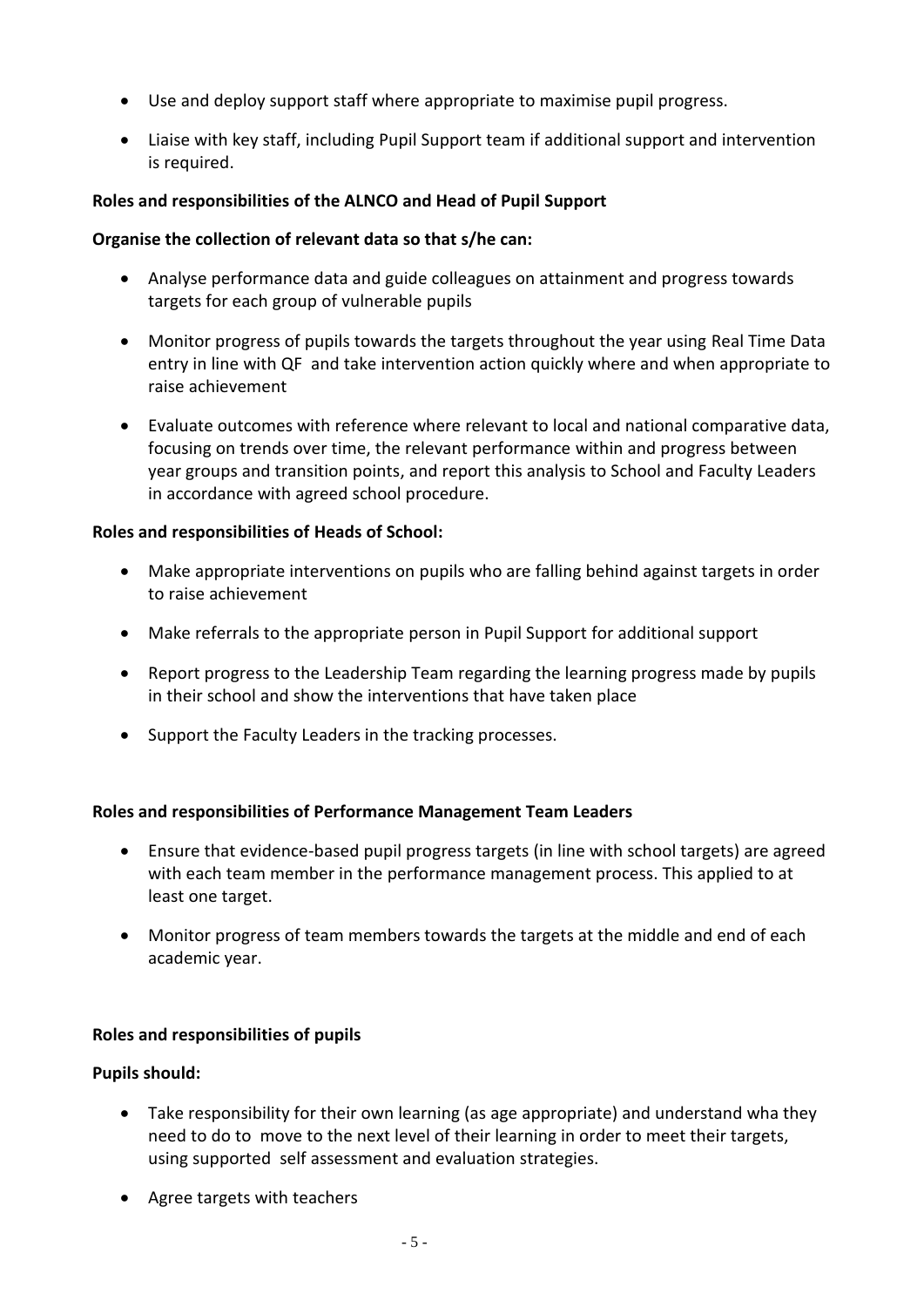- Use and deploy support staff where appropriate to maximise pupil progress.
- Liaise with key staff, including Pupil Support team if additional support and intervention is required.

# **Roles and responsibilities of the ALNCO and Head of Pupil Support**

### **Organise the collection of relevant data so that s/he can:**

- Analyse performance data and guide colleagues on attainment and progress towards targets for each group of vulnerable pupils
- Monitor progress of pupils towards the targets throughout the year using Real Time Data entry in line with QF and take intervention action quickly where and when appropriate to raise achievement
- Evaluate outcomes with reference where relevant to local and national comparative data, focusing on trends over time, the relevant performance within and progress between year groups and transition points, and report this analysis to School and Faculty Leaders in accordance with agreed school procedure.

### **Roles and responsibilities of Heads of School:**

- Make appropriate interventions on pupils who are falling behind against targets in order to raise achievement
- Make referrals to the appropriate person in Pupil Support for additional support
- Report progress to the Leadership Team regarding the learning progress made by pupils in their school and show the interventions that have taken place
- Support the Faculty Leaders in the tracking processes.

### **Roles and responsibilities of Performance Management Team Leaders**

- Ensure that evidence-based pupil progress targets (in line with school targets) are agreed with each team member in the performance management process. This applied to at least one target.
- Monitor progress of team members towards the targets at the middle and end of each academic year.

### **Roles and responsibilities of pupils**

### **Pupils should:**

- Take responsibility for their own learning (as age appropriate) and understand wha they need to do to move to the next level of their learning in order to meet their targets, using supported self assessment and evaluation strategies.
- Agree targets with teachers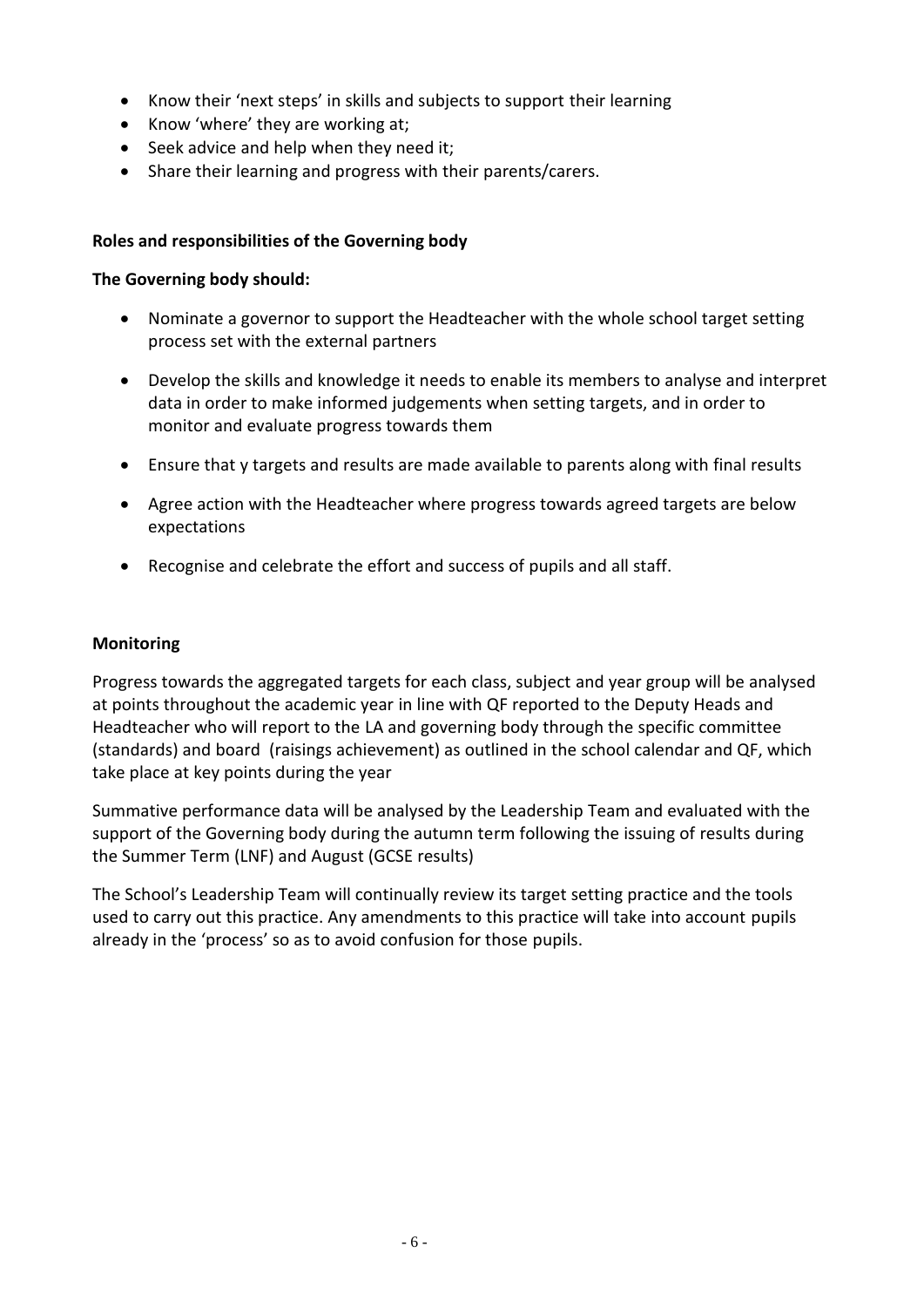- Know their 'next steps' in skills and subjects to support their learning
- Know 'where' they are working at;
- Seek advice and help when they need it;
- Share their learning and progress with their parents/carers.

# **Roles and responsibilities of the Governing body**

## **The Governing body should:**

- Nominate a governor to support the Headteacher with the whole school target setting process set with the external partners
- Develop the skills and knowledge it needs to enable its members to analyse and interpret data in order to make informed judgements when setting targets, and in order to monitor and evaluate progress towards them
- Ensure that y targets and results are made available to parents along with final results
- Agree action with the Headteacher where progress towards agreed targets are below expectations
- Recognise and celebrate the effort and success of pupils and all staff.

## **Monitoring**

Progress towards the aggregated targets for each class, subject and year group will be analysed at points throughout the academic year in line with QF reported to the Deputy Heads and Headteacher who will report to the LA and governing body through the specific committee (standards) and board (raisings achievement) as outlined in the school calendar and QF, which take place at key points during the year

Summative performance data will be analysed by the Leadership Team and evaluated with the support of the Governing body during the autumn term following the issuing of results during the Summer Term (LNF) and August (GCSE results)

The School's Leadership Team will continually review its target setting practice and the tools used to carry out this practice. Any amendments to this practice will take into account pupils already in the 'process' so as to avoid confusion for those pupils.